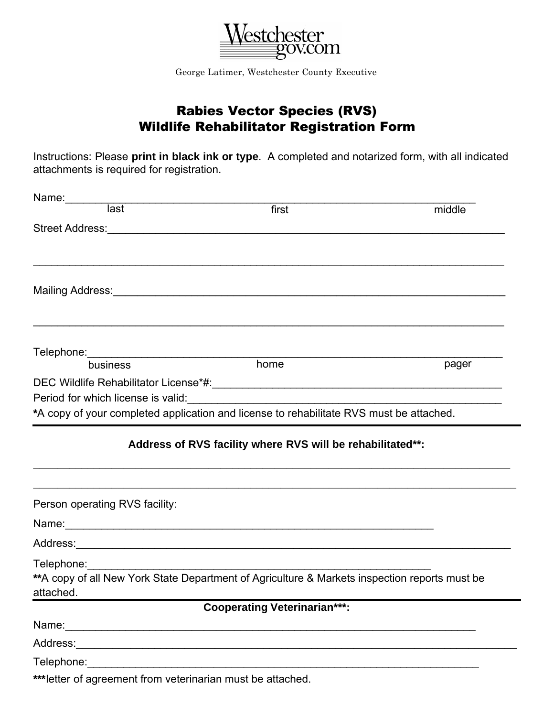

George Latimer, Westchester County Executive

## Rabies Vector Species (RVS) Wildlife Rehabilitator Registration Form

Instructions: Please **print in black ink or type**. A completed and notarized form, with all indicated attachments is required for registration.

| Name:<br>ast<br>ast                                         | first                                                                                                          | middle |  |  |
|-------------------------------------------------------------|----------------------------------------------------------------------------------------------------------------|--------|--|--|
|                                                             | Street Address: 2008 and 2008 and 2008 and 2008 and 2008 and 2008 and 2008 and 2008 and 2008 and 2008 and 2008 |        |  |  |
|                                                             |                                                                                                                |        |  |  |
|                                                             |                                                                                                                |        |  |  |
|                                                             |                                                                                                                |        |  |  |
|                                                             |                                                                                                                |        |  |  |
|                                                             |                                                                                                                |        |  |  |
|                                                             |                                                                                                                |        |  |  |
| business                                                    | home                                                                                                           | pager  |  |  |
|                                                             |                                                                                                                |        |  |  |
|                                                             |                                                                                                                |        |  |  |
|                                                             | *A copy of your completed application and license to rehabilitate RVS must be attached.                        |        |  |  |
|                                                             | Address of RVS facility where RVS will be rehabilitated**:                                                     |        |  |  |
| Person operating RVS facility:                              |                                                                                                                |        |  |  |
|                                                             |                                                                                                                |        |  |  |
|                                                             |                                                                                                                |        |  |  |
|                                                             |                                                                                                                |        |  |  |
| attached.                                                   | ** A copy of all New York State Department of Agriculture & Markets inspection reports must be                 |        |  |  |
|                                                             | <b>Cooperating Veterinarian***:</b>                                                                            |        |  |  |
|                                                             |                                                                                                                |        |  |  |
|                                                             |                                                                                                                |        |  |  |
|                                                             | Telephone: <u>www.community.community.community.community.community.community.com</u>                          |        |  |  |
| *** letter of agreement from veterinarian must be attached. |                                                                                                                |        |  |  |